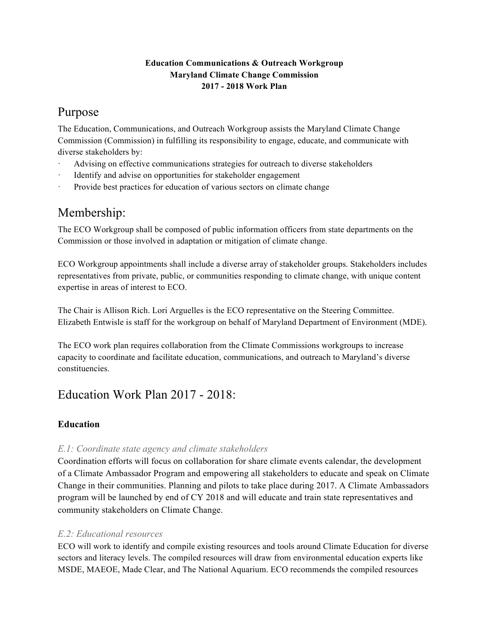#### **Education Communications & Outreach Workgroup Maryland Climate Change Commission 2017 - 2018 Work Plan**

# Purpose

The Education, Communications, and Outreach Workgroup assists the Maryland Climate Change Commission (Commission) in fulfilling its responsibility to engage, educate, and communicate with diverse stakeholders by:

- · Advising on effective communications strategies for outreach to diverse stakeholders
- Identify and advise on opportunities for stakeholder engagement
- Provide best practices for education of various sectors on climate change

# Membership:

The ECO Workgroup shall be composed of public information officers from state departments on the Commission or those involved in adaptation or mitigation of climate change.

ECO Workgroup appointments shall include a diverse array of stakeholder groups. Stakeholders includes representatives from private, public, or communities responding to climate change, with unique content expertise in areas of interest to ECO.

The Chair is Allison Rich. Lori Arguelles is the ECO representative on the Steering Committee. Elizabeth Entwisle is staff for the workgroup on behalf of Maryland Department of Environment (MDE).

The ECO work plan requires collaboration from the Climate Commissions workgroups to increase capacity to coordinate and facilitate education, communications, and outreach to Maryland's diverse constituencies.

# Education Work Plan 2017 - 2018:

## **Education**

## *E.1: Coordinate state agency and climate stakeholders*

Coordination efforts will focus on collaboration for share climate events calendar, the development of a Climate Ambassador Program and empowering all stakeholders to educate and speak on Climate Change in their communities. Planning and pilots to take place during 2017. A Climate Ambassadors program will be launched by end of CY 2018 and will educate and train state representatives and community stakeholders on Climate Change.

## *E.2: Educational resources*

ECO will work to identify and compile existing resources and tools around Climate Education for diverse sectors and literacy levels. The compiled resources will draw from environmental education experts like MSDE, MAEOE, Made Clear, and The National Aquarium. ECO recommends the compiled resources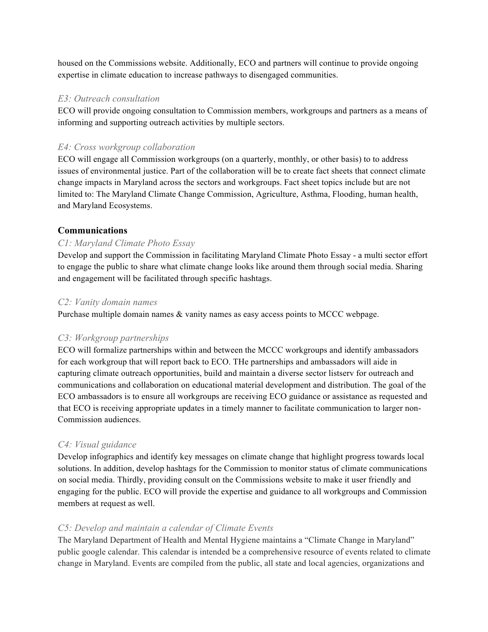housed on the Commissions website. Additionally, ECO and partners will continue to provide ongoing expertise in climate education to increase pathways to disengaged communities.

#### *E3: Outreach consultation*

ECO will provide ongoing consultation to Commission members, workgroups and partners as a means of informing and supporting outreach activities by multiple sectors.

#### *E4: Cross workgroup collaboration*

ECO will engage all Commission workgroups (on a quarterly, monthly, or other basis) to to address issues of environmental justice. Part of the collaboration will be to create fact sheets that connect climate change impacts in Maryland across the sectors and workgroups. Fact sheet topics include but are not limited to: The Maryland Climate Change Commission, Agriculture, Asthma, Flooding, human health, and Maryland Ecosystems.

#### **Communications**

#### *C1: Maryland Climate Photo Essay*

Develop and support the Commission in facilitating Maryland Climate Photo Essay - a multi sector effort to engage the public to share what climate change looks like around them through social media. Sharing and engagement will be facilitated through specific hashtags.

#### *C2: Vanity domain names*

Purchase multiple domain names & vanity names as easy access points to MCCC webpage.

#### *C3: Workgroup partnerships*

ECO will formalize partnerships within and between the MCCC workgroups and identify ambassadors for each workgroup that will report back to ECO. THe partnerships and ambassadors will aide in capturing climate outreach opportunities, build and maintain a diverse sector listserv for outreach and communications and collaboration on educational material development and distribution. The goal of the ECO ambassadors is to ensure all workgroups are receiving ECO guidance or assistance as requested and that ECO is receiving appropriate updates in a timely manner to facilitate communication to larger non-Commission audiences.

#### *C4: Visual guidance*

Develop infographics and identify key messages on climate change that highlight progress towards local solutions. In addition, develop hashtags for the Commission to monitor status of climate communications on social media. Thirdly, providing consult on the Commissions website to make it user friendly and engaging for the public. ECO will provide the expertise and guidance to all workgroups and Commission members at request as well.

#### *C5: Develop and maintain a calendar of Climate Events*

The Maryland Department of Health and Mental Hygiene maintains a "Climate Change in Maryland" public google calendar. This calendar is intended be a comprehensive resource of events related to climate change in Maryland. Events are compiled from the public, all state and local agencies, organizations and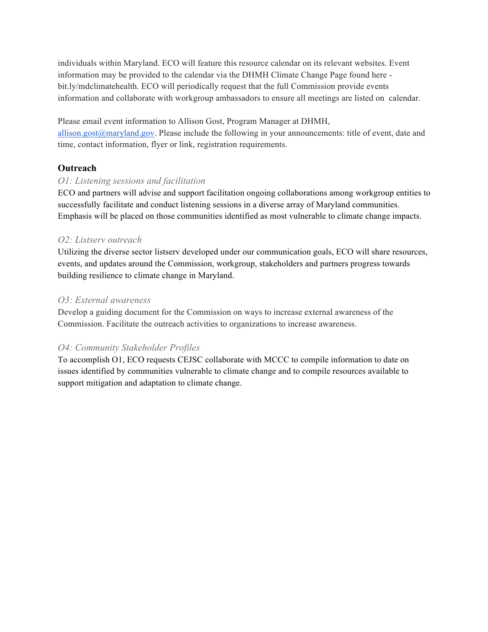individuals within Maryland. ECO will feature this resource calendar on its relevant websites. Event information may be provided to the calendar via the DHMH Climate Change Page found here bit.ly/mdclimatehealth. ECO will periodically request that the full Commission provide events information and collaborate with workgroup ambassadors to ensure all meetings are listed on calendar.

Please email event information to Allison Gost, Program Manager at DHMH, allison.gost@maryland.gov. Please include the following in your announcements: title of event, date and time, contact information, flyer or link, registration requirements.

#### **Outreach**

#### *O1: Listening sessions and facilitation*

ECO and partners will advise and support facilitation ongoing collaborations among workgroup entities to successfully facilitate and conduct listening sessions in a diverse array of Maryland communities. Emphasis will be placed on those communities identified as most vulnerable to climate change impacts.

#### *O2: Listserv outreach*

Utilizing the diverse sector listserv developed under our communication goals, ECO will share resources, events, and updates around the Commission, workgroup, stakeholders and partners progress towards building resilience to climate change in Maryland.

#### *O3: External awareness*

Develop a guiding document for the Commission on ways to increase external awareness of the Commission. Facilitate the outreach activities to organizations to increase awareness.

#### *O4: Community Stakeholder Profiles*

To accomplish O1, ECO requests CEJSC collaborate with MCCC to compile information to date on issues identified by communities vulnerable to climate change and to compile resources available to support mitigation and adaptation to climate change.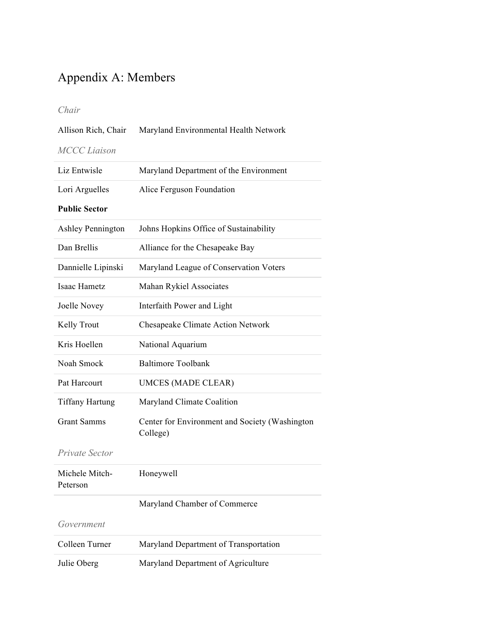# Appendix A: Members

## *Chair*

| Allison Rich, Chair        | Maryland Environmental Health Network                      |  |
|----------------------------|------------------------------------------------------------|--|
| <b>MCCC</b> Liaison        |                                                            |  |
| Liz Entwisle               | Maryland Department of the Environment                     |  |
| Lori Arguelles             | Alice Ferguson Foundation                                  |  |
| <b>Public Sector</b>       |                                                            |  |
| <b>Ashley Pennington</b>   | Johns Hopkins Office of Sustainability                     |  |
| Dan Brellis                | Alliance for the Chesapeake Bay                            |  |
| Dannielle Lipinski         | Maryland League of Conservation Voters                     |  |
| Isaac Hametz               | Mahan Rykiel Associates                                    |  |
| Joelle Novey               | Interfaith Power and Light                                 |  |
| Kelly Trout                | Chesapeake Climate Action Network                          |  |
| Kris Hoellen               | National Aquarium                                          |  |
| Noah Smock                 | <b>Baltimore Toolbank</b>                                  |  |
| Pat Harcourt               | <b>UMCES (MADE CLEAR)</b>                                  |  |
| <b>Tiffany Hartung</b>     | Maryland Climate Coalition                                 |  |
| <b>Grant Samms</b>         | Center for Environment and Society (Washington<br>College) |  |
| Private Sector             |                                                            |  |
| Michele Mitch-<br>Peterson | Honeywell                                                  |  |
|                            | Maryland Chamber of Commerce                               |  |
| Government                 |                                                            |  |
| Colleen Turner             | Maryland Department of Transportation                      |  |
| Julie Oberg                | Maryland Department of Agriculture                         |  |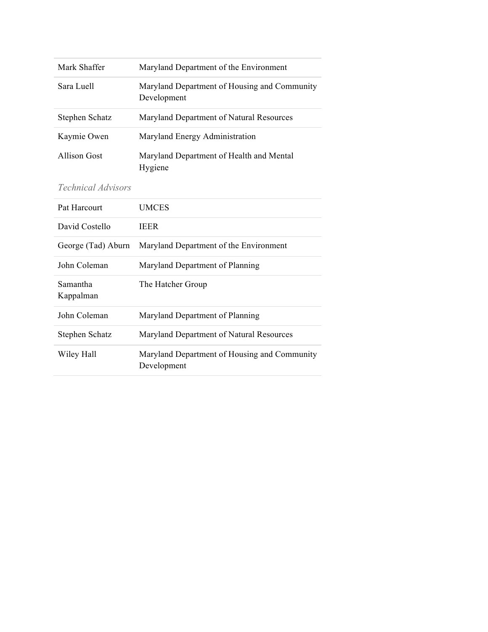| Mark Shaffer   | Maryland Department of the Environment                      |
|----------------|-------------------------------------------------------------|
| Sara Luell     | Maryland Department of Housing and Community<br>Development |
| Stephen Schatz | Maryland Department of Natural Resources                    |
| Kaymie Owen    | Maryland Energy Administration                              |
| Allison Gost   | Maryland Department of Health and Mental<br>Hygiene         |

### *Technical Advisors*

| Pat Harcourt          | <b>UMCES</b>                                                |
|-----------------------|-------------------------------------------------------------|
| David Costello        | <b>IEER</b>                                                 |
| George (Tad) Aburn    | Maryland Department of the Environment                      |
| John Coleman          | Maryland Department of Planning                             |
| Samantha<br>Kappalman | The Hatcher Group                                           |
| John Coleman          | Maryland Department of Planning                             |
| Stephen Schatz        | Maryland Department of Natural Resources                    |
| Wiley Hall            | Maryland Department of Housing and Community<br>Development |